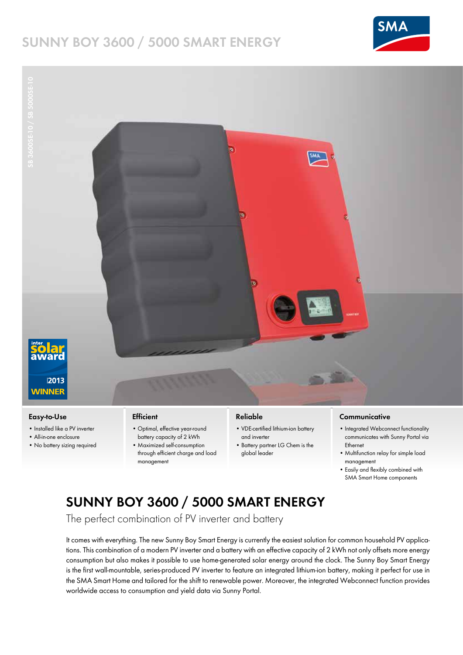# **SUNNY BOY 3600 / 5000 SMART ENERGY**





## **Easy-to-Use**

- Installed like a PV inverter
- All-in-one enclosure
- No battery sizing required

## **Efficient**

- Optimal, effective year-round battery capacity of 2 kWh
- Maximized self-consumption through efficient charge and load management

## **Reliable**

- VDE-certified lithium-ion battery and inverter
- Battery partner LG Chem is the global leader

### **Communicative**

- Integrated Webconnect functionality communicates with Sunny Portal via Ethernet
- Multifunction relay for simple load management
- Easily and flexibly combined with SMA Smart Home components

# **SUNNY BOY 3600 / 5000 SMART ENERGY**

The perfect combination of PV inverter and battery

It comes with everything. The new Sunny Boy Smart Energy is currently the easiest solution for common household PV applications. This combination of a modern PV inverter and a battery with an effective capacity of 2 kWh not only offsets more energy consumption but also makes it possible to use home-generated solar energy around the clock. The Sunny Boy Smart Energy is the first wall-mountable, series-produced PV inverter to feature an integrated lithium-ion battery, making it perfect for use in the SMA Smart Home and tailored for the shift to renewable power. Moreover, the integrated Webconnect function provides worldwide access to consumption and yield data via Sunny Portal.